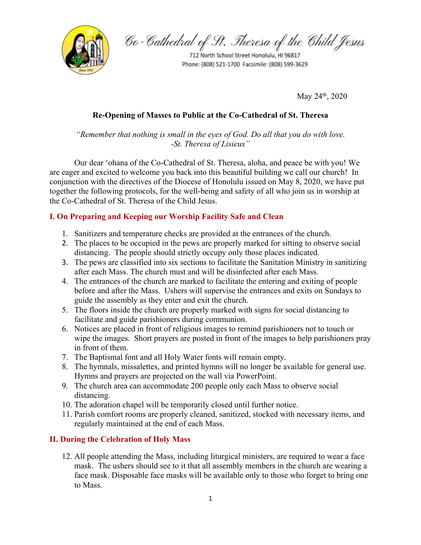

Co-Cathedral of St. Theresa of the Child Jesus

712 North School Street Honolulu, HI 96817 Phone: (808) 521-1700 Facsimile: (808) 599-3629

May  $24^{\text{th}}$ ,  $2020$ 

# **Re-Opening of Masses to Public at the Co-Cathedral of St. Theresa**

*"Remember that nothing is small in the eyes of God. Do all that you do with love. -St. Theresa of Lisieux"*

Our dear ʻohana of the Co-Cathedral of St. Theresa, aloha, and peace be with you! We are eager and excited to welcome you back into this beautiful building we call our church! In conjunction with the directives of the Diocese of Honolulu issued on May 8, 2020, we have put together the following protocols, for the well-being and safety of all who join us in worship at the Co-Cathedral of St. Theresa of the Child Jesus.

#### **I. On Preparing and Keeping our Worship Facility Safe and Clean**

- 1. Sanitizers and temperature checks are provided at the entrances of the church.
- 2. The places to be occupied in the pews are properly marked for sitting to observe social distancing. The people should strictly occupy only those places indicated.
- 3. The pews are classified into six sections to facilitate the Sanitation Ministry in sanitizing after each Mass. The church must and will be disinfected after each Mass.
- 4. The entrances of the church are marked to facilitate the entering and exiting of people before and after the Mass. Ushers will supervise the entrances and exits on Sundays to guide the assembly as they enter and exit the church.
- 5. The floors inside the church are properly marked with signs for social distancing to facilitate and guide parishioners during communion.
- 6. Notices are placed in front of religious images to remind parishioners not to touch or wipe the images. Short prayers are posted in front of the images to help parishioners pray in front of them.
- 7. The Baptismal font and all Holy Water fonts will remain empty.
- 8. The hymnals, missalettes, and printed hymns will no longer be available for general use. Hymns and prayers are projected on the wall via PowerPoint.
- 9. The church area can accommodate 200 people only each Mass to observe social distancing.
- 10. The adoration chapel will be temporarily closed until further notice.
- 11. Parish comfort rooms are properly cleaned, sanitized, stocked with necessary items, and regularly maintained at the end of each Mass.

## **II. During the Celebration of Holy Mass**

12. All people attending the Mass, including liturgical ministers, are required to wear a face mask. The ushers should see to it that all assembly members in the church are wearing a face mask. Disposable face masks will be available only to those who forget to bring one to Mass.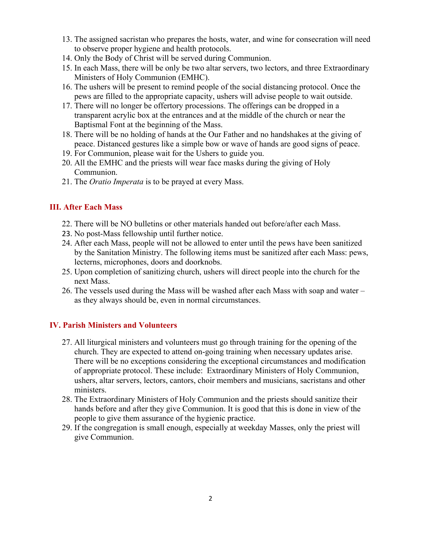- 13. The assigned sacristan who prepares the hosts, water, and wine for consecration will need to observe proper hygiene and health protocols.
- 14. Only the Body of Christ will be served during Communion.
- 15. In each Mass, there will be only be two altar servers, two lectors, and three Extraordinary Ministers of Holy Communion (EMHC).
- 16. The ushers will be present to remind people of the social distancing protocol. Once the pews are filled to the appropriate capacity, ushers will advise people to wait outside.
- 17. There will no longer be offertory processions. The offerings can be dropped in a transparent acrylic box at the entrances and at the middle of the church or near the Baptismal Font at the beginning of the Mass.
- 18. There will be no holding of hands at the Our Father and no handshakes at the giving of peace. Distanced gestures like a simple bow or wave of hands are good signs of peace.
- 19. For Communion, please wait for the Ushers to guide you.
- 20. All the EMHC and the priests will wear face masks during the giving of Holy Communion.
- 21. The *Oratio Imperata* is to be prayed at every Mass.

## **III. After Each Mass**

- 22. There will be NO bulletins or other materials handed out before/after each Mass.
- 23. No post-Mass fellowship until further notice.
- 24. After each Mass, people will not be allowed to enter until the pews have been sanitized by the Sanitation Ministry. The following items must be sanitized after each Mass: pews, lecterns, microphones, doors and doorknobs.
- 25. Upon completion of sanitizing church, ushers will direct people into the church for the next Mass.
- 26. The vessels used during the Mass will be washed after each Mass with soap and water as they always should be, even in normal circumstances.

## **IV. Parish Ministers and Volunteers**

- 27. All liturgical ministers and volunteers must go through training for the opening of the church. They are expected to attend on-going training when necessary updates arise. There will be no exceptions considering the exceptional circumstances and modification of appropriate protocol. These include: Extraordinary Ministers of Holy Communion, ushers, altar servers, lectors, cantors, choir members and musicians, sacristans and other ministers.
- 28. The Extraordinary Ministers of Holy Communion and the priests should sanitize their hands before and after they give Communion. It is good that this is done in view of the people to give them assurance of the hygienic practice.
- 29. If the congregation is small enough, especially at weekday Masses, only the priest will give Communion.